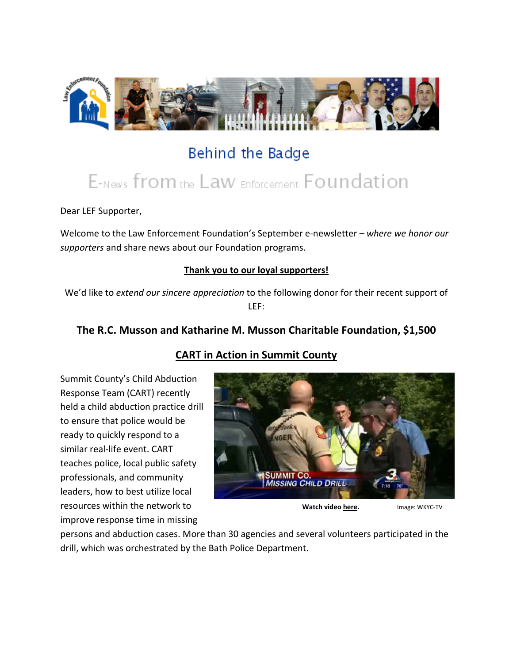

# Behind the Badge

# E-News from the Law Enforcement Foundation

Dear LEF Supporter,

Welcome to the Law Enforcement Foundation's September e-newsletter *– where we honor our supporters* and share news about our Foundation programs.

#### **Thank you to our loyal supporters!**

We'd like to *extend our sincere appreciation* to the following donor for their recent support of LEF:

# **The R.C. Musson and Katharine M. Musson Charitable Foundation, \$1,500**

# **CART in Action in Summit County**

Summit County's Child Abduction Response Team (CART) recently held a child abduction practice drill to ensure that police would be ready to quickly respond to a similar real-life event. CART teaches police, local public safety professionals, and community leaders, how to best utilize local resources within the network to improve response time in missing



 **Watch video [here.](http://www.wkyc.com/news/story.aspx?storyid=256249)** Image: WKYC-TV

persons and abduction cases. More than 30 agencies and several volunteers participated in the drill, which was orchestrated by the Bath Police Department.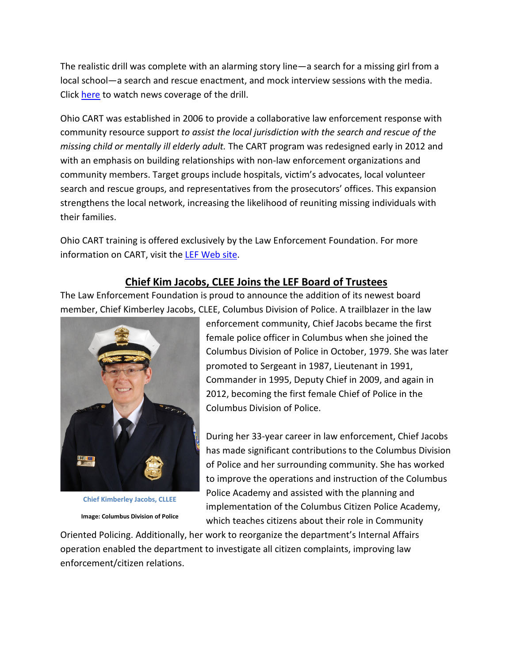The realistic drill was complete with an alarming story line—a search for a missing girl from a local school—a search and rescue enactment, and mock interview sessions with the media. Click [here](http://www.wkyc.com/news/story.aspx?storyid=256249) to watch news coverage of the drill.

Ohio CART was established in 2006 to provide a collaborative law enforcement response with community resource support *to assist the local jurisdiction with the search and rescue of the missing child or mentally ill elderly adult.* The CART program was redesigned early in 2012 and with an emphasis on building relationships with non-law enforcement organizations and community members. Target groups include hospitals, victim's advocates, local volunteer search and rescue groups, and representatives from the prosecutors' offices. This expansion strengthens the local network, increasing the likelihood of reuniting missing individuals with their families.

Ohio CART training is offered exclusively by the Law Enforcement Foundation. For more information on CART, visit the [LEF Web site.](http://www.lef-oh.org/carthm.html)

#### **Chief Kim Jacobs, CLEE Joins the LEF Board of Trustees**

The Law Enforcement Foundation is proud to announce the addition of its newest board member, Chief Kimberley Jacobs, CLEE, Columbus Division of Police. A trailblazer in the law



**Chief Kimberley Jacobs, CLLEE Image: Columbus Division of Police**

enforcement community, Chief Jacobs became the first female police officer in Columbus when she joined the Columbus Division of Police in October, 1979. She was later promoted to Sergeant in 1987, Lieutenant in 1991, Commander in 1995, Deputy Chief in 2009, and again in 2012, becoming the first female Chief of Police in the Columbus Division of Police.

During her 33-year career in law enforcement, Chief Jacobs has made significant contributions to the Columbus Division of Police and her surrounding community. She has worked to improve the operations and instruction of the Columbus Police Academy and assisted with the planning and implementation of the Columbus Citizen Police Academy, which teaches citizens about their role in Community

Oriented Policing. Additionally, her work to reorganize the department's Internal Affairs operation enabled the department to investigate all citizen complaints, improving law enforcement/citizen relations.